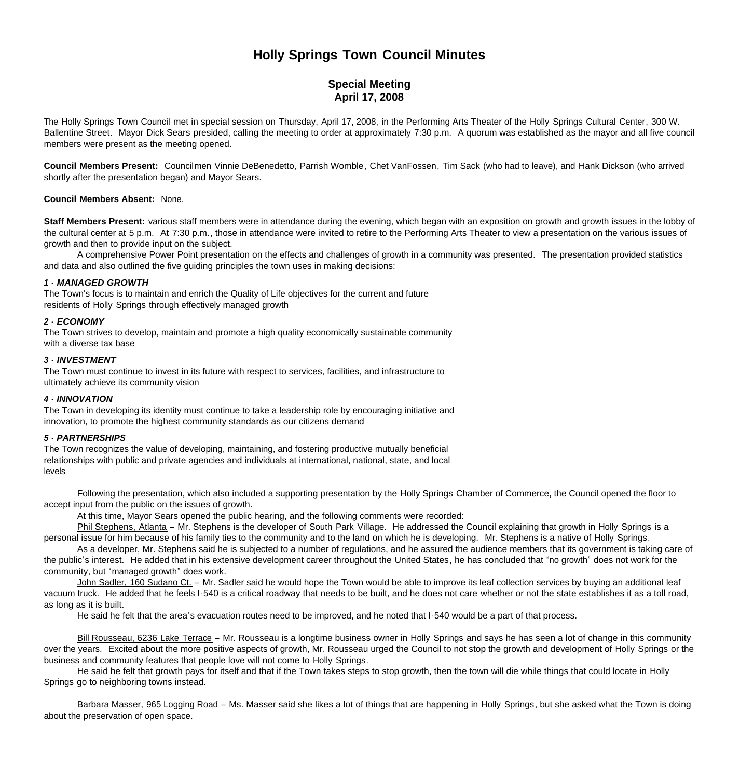# **Holly Springs Town Council Minutes**

# **Special Meeting April 17, 2008**

The Holly Springs Town Council met in special session on Thursday, April 17, 2008, in the Performing Arts Theater of the Holly Springs Cultural Center, 300 W. Ballentine Street. Mayor Dick Sears presided, calling the meeting to order at approximately 7:30 p.m. A quorum was established as the mayor and all five council members were present as the meeting opened.

**Council Members Present:** Councilmen Vinnie DeBenedetto, Parrish Womble, Chet VanFossen, Tim Sack (who had to leave), and Hank Dickson (who arrived shortly after the presentation began) and Mayor Sears.

## **Council Members Absent:** None.

**Staff Members Present:** various staff members were in attendance during the evening, which began with an exposition on growth and growth issues in the lobby of the cultural center at 5 p.m. At 7:30 p.m., those in attendance were invited to retire to the Performing Arts Theater to view a presentation on the various issues of growth and then to provide input on the subject.

A comprehensive Power Point presentation on the effects and challenges of growth in a community was presented. The presentation provided statistics and data and also outlined the five guiding principles the town uses in making decisions:

#### *1 - MANAGED GROWTH*

The Town's focus is to maintain and enrich the Quality of Life objectives for the current and future residents of Holly Springs through effectively managed growth

#### *2 - ECONOMY*

The Town strives to develop, maintain and promote a high quality economically sustainable community with a diverse tax base

# *3 - INVESTMENT*

The Town must continue to invest in its future with respect to services, facilities, and infrastructure to ultimately achieve its community vision

#### *4 - INNOVATION*

The Town in developing its identity must continue to take a leadership role by encouraging initiative and innovation, to promote the highest community standards as our citizens demand

# *5 - PARTNERSHIPS*

The Town recognizes the value of developing, maintaining, and fostering productive mutually beneficial relationships with public and private agencies and individuals at international, national, state, and local levels

 Following the presentation, which also included a supporting presentation by the Holly Springs Chamber of Commerce, the Council opened the floor to accept input from the public on the issues of growth.

At this time, Mayor Sears opened the public hearing, and the following comments were recorded:

 Phil Stephens, Atlanta – Mr. Stephens is the developer of South Park Village. He addressed the Council explaining that growth in Holly Springs is a personal issue for him because of his family ties to the community and to the land on which he is developing. Mr. Stephens is a native of Holly Springs.

 As a developer, Mr. Stephens said he is subjected to a number of regulations, and he assured the audience members that its government is taking care of the public's interest. He added that in his extensive development career throughout the United States, he has concluded that "no growth" does not work for the community, but "managed growth" does work.

 John Sadler, 160 Sudano Ct. – Mr. Sadler said he would hope the Town would be able to improve its leaf collection services by buying an additional leaf vacuum truck. He added that he feels I-540 is a critical roadway that needs to be built, and he does not care whether or not the state establishes it as a toll road, as long as it is built.

He said he felt that the area's evacuation routes need to be improved, and he noted that I-540 would be a part of that process.

Bill Rousseau, 6236 Lake Terrace - Mr. Rousseau is a longtime business owner in Holly Springs and says he has seen a lot of change in this community over the years. Excited about the more positive aspects of growth, Mr. Rousseau urged the Council to not stop the growth and development of Holly Springs or the business and community features that people love will not come to Holly Springs.

 He said he felt that growth pays for itself and that if the Town takes steps to stop growth, then the town will die while things that could locate in Holly Springs go to neighboring towns instead.

 Barbara Masser, 965 Logging Road – Ms. Masser said she likes a lot of things that are happening in Holly Springs, but she asked what the Town is doing about the preservation of open space.